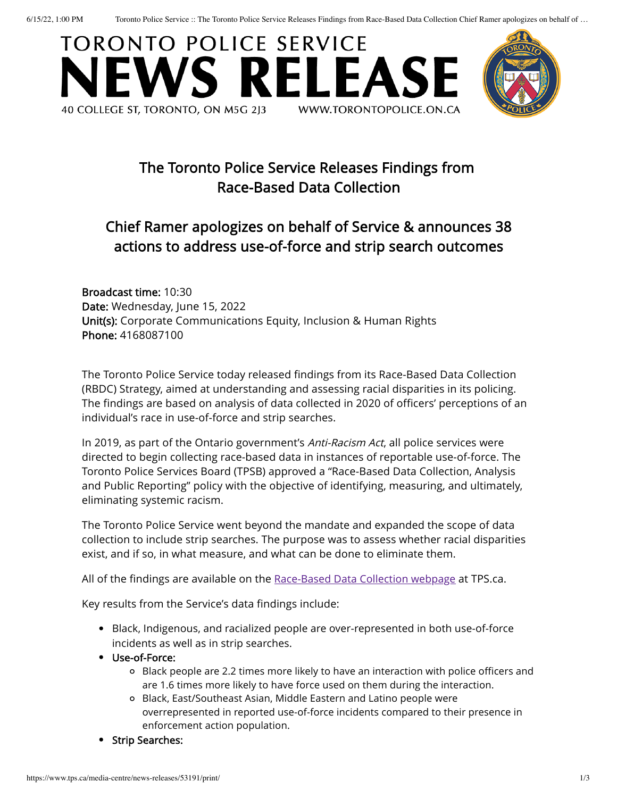6/15/22, 1:00 PM Toronto Police Service :: The Toronto Police Service Releases Findings from Race-Based Data Collection Chief Ramer apologizes on behalf of …





# The Toronto Police Service Releases Findings from Race-Based Data Collection

## Chief Ramer apologizes on behalf of Service & announces 38 actions to address use-of-force and strip search outcomes

Broadcast time: 10:30 Date: Wednesday, June 15, 2022 Unit(s): Corporate Communications Equity, Inclusion & Human Rights Phone: 4168087100

The Toronto Police Service today released findings from its Race-Based Data Collection (RBDC) Strategy, aimed at understanding and assessing racial disparities in its policing. The findings are based on analysis of data collected in 2020 of officers' perceptions of an individual's race in use-of-force and strip searches.

In 2019, as part of the Ontario government's Anti-Racism Act, all police services were directed to begin collecting race-based data in instances of reportable use-of-force. The Toronto Police Services Board (TPSB) approved a "Race-Based Data Collection, Analysis and Public Reporting" policy with the objective of identifying, measuring, and ultimately, eliminating systemic racism.

The Toronto Police Service went beyond the mandate and expanded the scope of data collection to include strip searches. The purpose was to assess whether racial disparities exist, and if so, in what measure, and what can be done to eliminate them.

All of the findings are available on the [Race-Based](https://www.tps.ca/race-based-data-collection/) Data Collection webpage at TPS.ca.

Key results from the Service's data findings include:

- Black, Indigenous, and racialized people are over-represented in both use-of-force incidents as well as in strip searches.
- Use-of-Force:
	- Black people are 2.2 times more likely to have an interaction with police officers and are 1.6 times more likely to have force used on them during the interaction.
	- Black, East/Southeast Asian, Middle Eastern and Latino people were overrepresented in reported use-of-force incidents compared to their presence in enforcement action population.
- Strip Searches: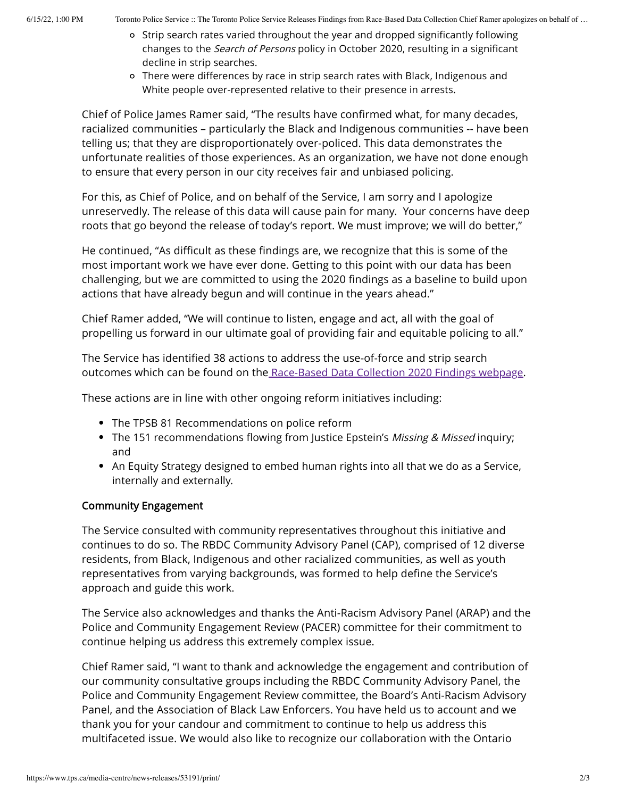- $\circ$  Strip search rates varied throughout the year and dropped significantly following changes to the Search of Persons policy in October 2020, resulting in a significant decline in strip searches.
- o There were differences by race in strip search rates with Black, Indigenous and White people over-represented relative to their presence in arrests.

Chief of Police James Ramer said, "The results have confirmed what, for many decades, racialized communities – particularly the Black and Indigenous communities -- have been telling us; that they are disproportionately over-policed. This data demonstrates the unfortunate realities of those experiences. As an organization, we have not done enough to ensure that every person in our city receives fair and unbiased policing.

For this, as Chief of Police, and on behalf of the Service, I am sorry and I apologize unreservedly. The release of this data will cause pain for many. Your concerns have deep roots that go beyond the release of today's report. We must improve; we will do better,"

He continued, "As difficult as these findings are, we recognize that this is some of the most important work we have ever done. Getting to this point with our data has been challenging, but we are committed to using the 2020 findings as a baseline to build upon actions that have already begun and will continue in the years ahead."

Chief Ramer added, "We will continue to listen, engage and act, all with the goal of propelling us forward in our ultimate goal of providing fair and equitable policing to all."

The Service has identified 38 actions to address the use-of-force and strip search outcomes which can be found on the [Race-Based](https://www.tps.ca/race-based-data-collection/2020-rbdc-findings/) Data Collection 2020 Findings webpage.

These actions are in line with other ongoing reform initiatives including:

- The TPSB 81 Recommendations on police reform
- The 151 recommendations flowing from Justice Epstein's Missing & Missed inquiry; and
- An Equity Strategy designed to embed human rights into all that we do as a Service, internally and externally.

### Community Engagement

The Service consulted with community representatives throughout this initiative and continues to do so. The RBDC Community Advisory Panel (CAP), comprised of 12 diverse residents, from Black, Indigenous and other racialized communities, as well as youth representatives from varying backgrounds, was formed to help define the Service's approach and guide this work.

The Service also acknowledges and thanks the Anti-Racism Advisory Panel (ARAP) and the Police and Community Engagement Review (PACER) committee for their commitment to continue helping us address this extremely complex issue.

Chief Ramer said, "I want to thank and acknowledge the engagement and contribution of our community consultative groups including the RBDC Community Advisory Panel, the Police and Community Engagement Review committee, the Board's Anti-Racism Advisory Panel, and the Association of Black Law Enforcers. You have held us to account and we thank you for your candour and commitment to continue to help us address this multifaceted issue. We would also like to recognize our collaboration with the Ontario